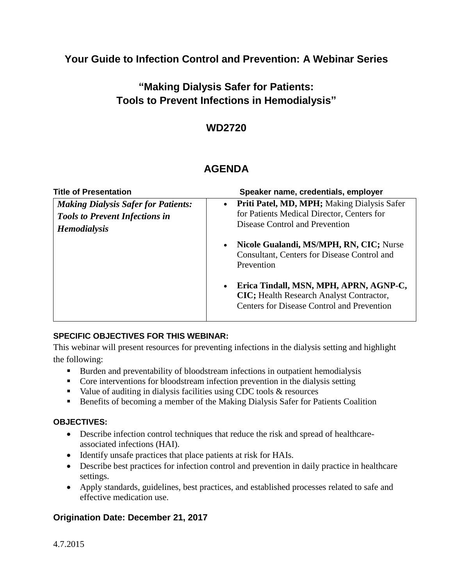**Your Guide to Infection Control and Prevention: A Webinar Series**

**"Making Dialysis Safer for Patients: Tools to Prevent Infections in Hemodialysis"**

## **WD2720**

# **AGENDA**

| <b>Title of Presentation</b>                                                                               | Speaker name, credentials, employer                                                                                                                          |
|------------------------------------------------------------------------------------------------------------|--------------------------------------------------------------------------------------------------------------------------------------------------------------|
| <b>Making Dialysis Safer for Patients:</b><br><b>Tools to Prevent Infections in</b><br><b>Hemodialysis</b> | Priti Patel, MD, MPH; Making Dialysis Safer<br>$\bullet$<br>for Patients Medical Director, Centers for<br>Disease Control and Prevention                     |
|                                                                                                            | Nicole Gualandi, MS/MPH, RN, CIC; Nurse<br>$\bullet$<br>Consultant, Centers for Disease Control and<br>Prevention                                            |
|                                                                                                            | Erica Tindall, MSN, MPH, APRN, AGNP-C,<br>$\bullet$<br><b>CIC</b> ; Health Research Analyst Contractor,<br><b>Centers for Disease Control and Prevention</b> |

#### **SPECIFIC OBJECTIVES FOR THIS WEBINAR:**

This webinar will present resources for preventing infections in the dialysis setting and highlight the following:

- Burden and preventability of bloodstream infections in outpatient hemodialysis
- Core interventions for bloodstream infection prevention in the dialysis setting
- $\blacksquare$  Value of auditing in dialysis facilities using CDC tools & resources
- **Benefits of becoming a member of the Making Dialysis Safer for Patients Coalition**

#### **OBJECTIVES:**

- Describe infection control techniques that reduce the risk and spread of healthcareassociated infections (HAI).
- Identify unsafe practices that place patients at risk for HAIs.
- Describe best practices for infection control and prevention in daily practice in healthcare settings.
- Apply standards, guidelines, best practices, and established processes related to safe and effective medication use.

#### **Origination Date: December 21, 2017**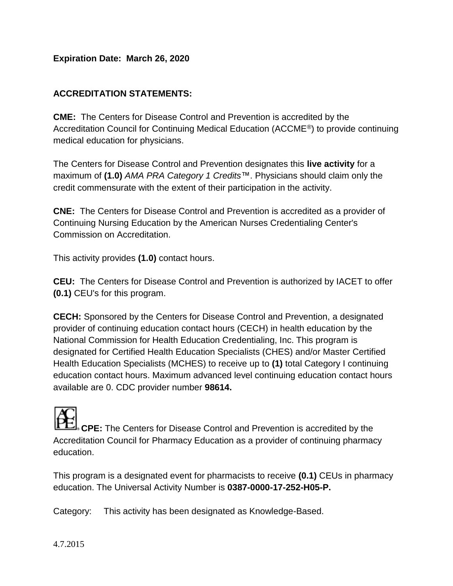#### **Expiration Date: March 26, 2020**

#### **ACCREDITATION STATEMENTS:**

**CME:** The Centers for Disease Control and Prevention is accredited by the Accreditation Council for Continuing Medical Education (ACCME®) to provide continuing medical education for physicians.

The Centers for Disease Control and Prevention designates this **live activity** for a maximum of **(1.0)** *AMA PRA Category 1 Credits*™. Physicians should claim only the credit commensurate with the extent of their participation in the activity.

**CNE:** The Centers for Disease Control and Prevention is accredited as a provider of Continuing Nursing Education by the American Nurses Credentialing Center's Commission on Accreditation.

This activity provides **(1.0)** contact hours.

**CEU:** The Centers for Disease Control and Prevention is authorized by IACET to offer **(0.1)** CEU's for this program.

**CECH:** Sponsored by the Centers for Disease Control and Prevention, a designated provider of continuing education contact hours (CECH) in health education by the National Commission for Health Education Credentialing, Inc. This program is designated for Certified Health Education Specialists (CHES) and/or Master Certified Health Education Specialists (MCHES) to receive up to **(1)** total Category I continuing education contact hours. Maximum advanced level continuing education contact hours available are 0. CDC provider number **98614.**

**CPE:** The Centers for Disease Control and Prevention is accredited by the Accreditation Council for Pharmacy Education as a provider of continuing pharmacy education.

This program is a designated event for pharmacists to receive **(0.1)** CEUs in pharmacy education. The Universal Activity Number is **0387-0000-17-252-H05-P.**

Category: This activity has been designated as Knowledge-Based.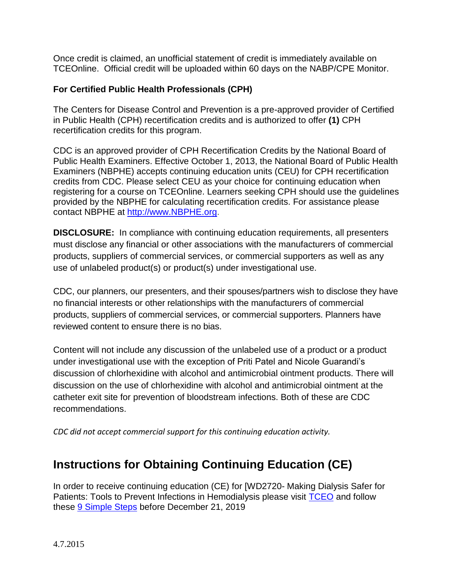Once credit is claimed, an unofficial statement of credit is immediately available on TCEOnline. Official credit will be uploaded within 60 days on the NABP/CPE Monitor.

#### **For Certified Public Health Professionals (CPH)**

The Centers for Disease Control and Prevention is a pre-approved provider of Certified in Public Health (CPH) recertification credits and is authorized to offer **(1)** CPH recertification credits for this program.

CDC is an approved provider of CPH Recertification Credits by the National Board of Public Health Examiners. Effective October 1, 2013, the National Board of Public Health Examiners (NBPHE) accepts continuing education units (CEU) for CPH recertification credits from CDC. Please select CEU as your choice for continuing education when registering for a course on TCEOnline. Learners seeking CPH should use the guidelines provided by the NBPHE for calculating recertification credits. For assistance please contact NBPHE at [http://www.NBPHE.org.](http://www.nbphe.org/)

**DISCLOSURE:** In compliance with continuing education requirements, all presenters must disclose any financial or other associations with the manufacturers of commercial products, suppliers of commercial services, or commercial supporters as well as any use of unlabeled product(s) or product(s) under investigational use.

CDC, our planners, our presenters, and their spouses/partners wish to disclose they have no financial interests or other relationships with the manufacturers of commercial products, suppliers of commercial services, or commercial supporters. Planners have reviewed content to ensure there is no bias.

Content will not include any discussion of the unlabeled use of a product or a product under investigational use with the exception of Priti Patel and Nicole Guarandi's discussion of chlorhexidine with alcohol and antimicrobial ointment products. There will discussion on the use of chlorhexidine with alcohol and antimicrobial ointment at the catheter exit site for prevention of bloodstream infections. Both of these are CDC recommendations.

*CDC did not accept commercial support for this continuing education activity.*

# **Instructions for Obtaining Continuing Education (CE)**

In order to receive continuing education (CE) for [WD2720- Making Dialysis Safer for Patients: Tools to Prevent Infections in Hemodialysis please visit [TCEO](https://www.cdc.gov/getCE) and follow these [9 Simple Steps](https://tceols.cdc.gov/Home/Steps) before December 21, 2019